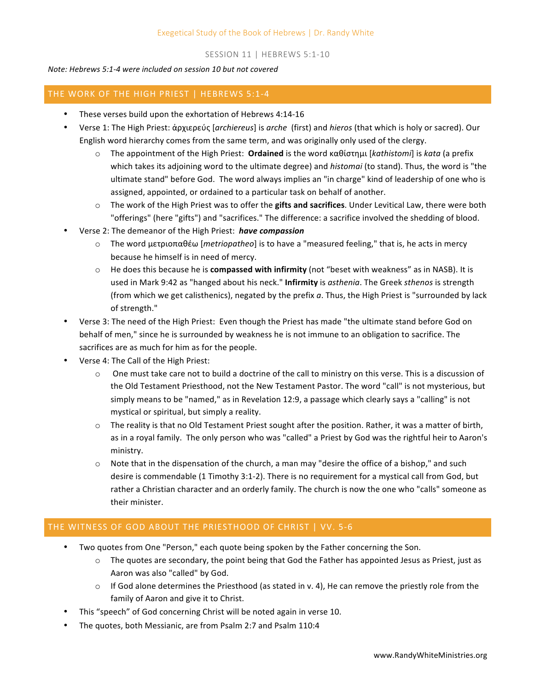## SESSION 11 | HEBREWS 5:1-10

## *Note: Hebrews 5:1-4 were included on session 10 but not covered*

## THE WORK OF THE HIGH PRIEST | HEBREWS 5:1-4

- These verses build upon the exhortation of Hebrews 4:14-16
- Verse 1: The High Priest: ἀρχιερεύς [*archiereus*] is *arche* (first) and *hieros* (that which is holy or sacred). Our English word hierarchy comes from the same term, and was originally only used of the clergy.
	- o The appointment of the High Priest: **Ordained** is the word καθίστημι [*kathistomi*] is *kata* (a prefix which takes its adjoining word to the ultimate degree) and *histomai* (to stand). Thus, the word is "the ultimate stand" before God. The word always implies an "in charge" kind of leadership of one who is assigned, appointed, or ordained to a particular task on behalf of another.
	- $\circ$  The work of the High Priest was to offer the **gifts and sacrifices**. Under Levitical Law, there were both "offerings" (here "gifts") and "sacrifices." The difference: a sacrifice involved the shedding of blood.
- Verse 2: The demeanor of the High Priest: *have compassion* 
	- ο The word μετριοπαθέω [*metriopatheo*] is to have a "measured feeling," that is, he acts in mercy because he himself is in need of mercy.
	- $\circ$  He does this because he is **compassed with infirmity** (not "beset with weakness" as in NASB). It is used in Mark 9:42 as "hanged about his neck." **Infirmity** is *asthenia*. The Greek *sthenos* is strength (from which we get calisthenics), negated by the prefix a. Thus, the High Priest is "surrounded by lack of strength."
- Verse 3: The need of the High Priest: Even though the Priest has made "the ultimate stand before God on behalf of men," since he is surrounded by weakness he is not immune to an obligation to sacrifice. The sacrifices are as much for him as for the people.
- Verse 4: The Call of the High Priest:
	- $\circ$  One must take care not to build a doctrine of the call to ministry on this verse. This is a discussion of the Old Testament Priesthood, not the New Testament Pastor. The word "call" is not mysterious, but simply means to be "named," as in Revelation 12:9, a passage which clearly says a "calling" is not mystical or spiritual, but simply a reality.
	- $\circ$  The reality is that no Old Testament Priest sought after the position. Rather, it was a matter of birth, as in a royal family. The only person who was "called" a Priest by God was the rightful heir to Aaron's ministry.
	- $\circ$  Note that in the dispensation of the church, a man may "desire the office of a bishop," and such desire is commendable (1 Timothy 3:1-2). There is no requirement for a mystical call from God, but rather a Christian character and an orderly family. The church is now the one who "calls" someone as their minister.

## THE WITNESS OF GOD ABOUT THE PRIESTHOOD OF CHRIST | VV. 5-6

- Two quotes from One "Person," each quote being spoken by the Father concerning the Son.
	- $\circ$  The quotes are secondary, the point being that God the Father has appointed Jesus as Priest, just as Aaron was also "called" by God.
	- $\circ$  If God alone determines the Priesthood (as stated in v. 4), He can remove the priestly role from the family of Aaron and give it to Christ.
- This "speech" of God concerning Christ will be noted again in verse 10.
- The quotes, both Messianic, are from Psalm 2:7 and Psalm 110:4